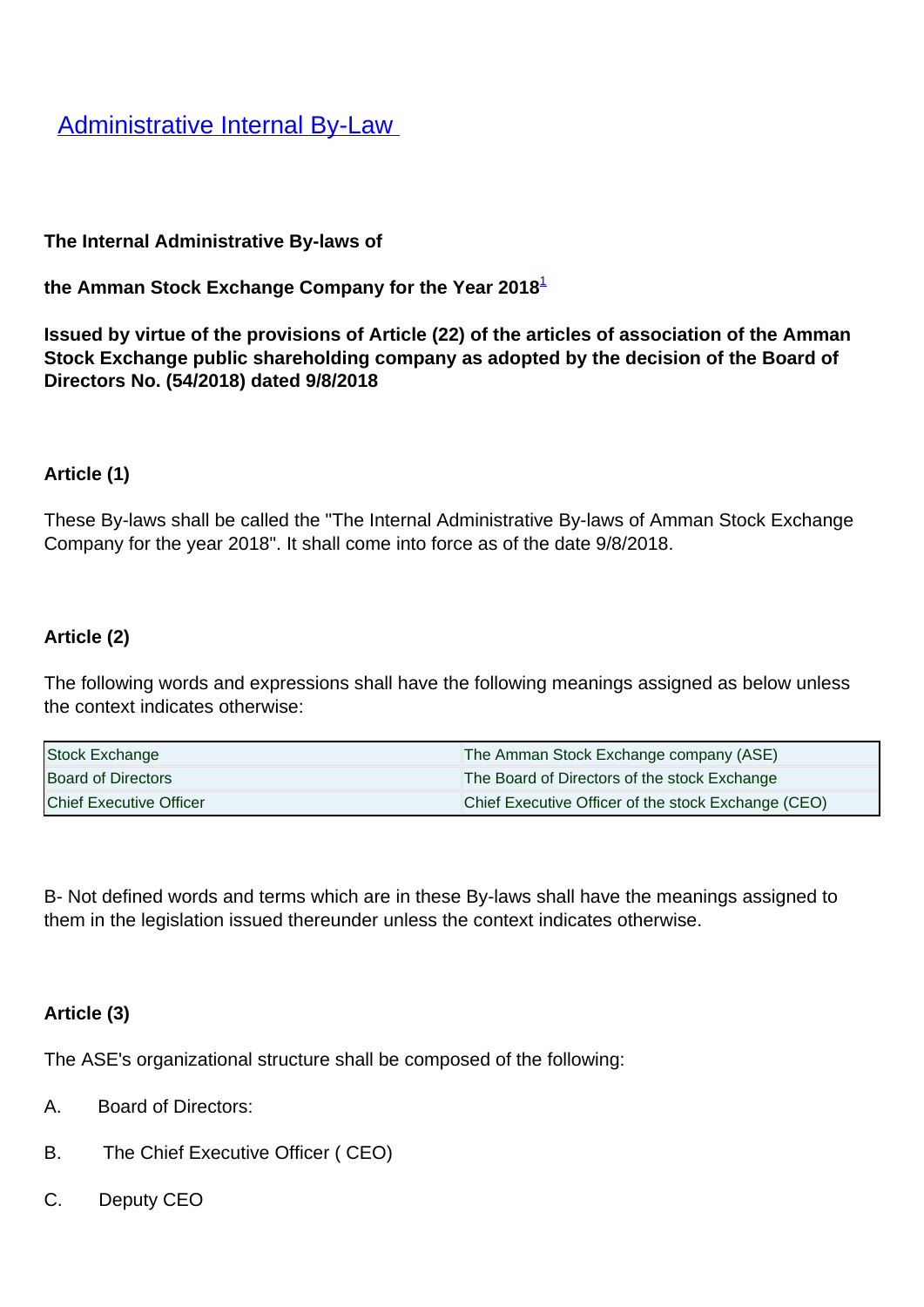**[Administrative Internal By-Law](/en/Legislation/Laws/Administrative-Internal-Law)** 

### **The Internal Administrative By-laws of**

**the Amman Stock Exchange Company for the Year 2018**<sup>1</sup>

**Issued by virtue of the provisions of Article (22) of the articles of association of the Amman Stock Exchange public shareholding company as adopted by the decision of the Board of Directors No. (54/2018) dated 9/8/2018**

#### **Article (1)**

These By-laws shall be called the "The Internal Administrative By-laws of Amman Stock Exchange Company for the year 2018". It shall come into force as of the date 9/8/2018.

### **Article (2)**

The following words and expressions shall have the following meanings assigned as below unless the context indicates otherwise:

| Stock Exchange            | The Amman Stock Exchange company (ASE)              |
|---------------------------|-----------------------------------------------------|
| <b>Board of Directors</b> | The Board of Directors of the stock Exchange        |
| Chief Executive Officer   | Chief Executive Officer of the stock Exchange (CEO) |

B- Not defined words and terms which are in these By-laws shall have the meanings assigned to them in the legislation issued thereunder unless the context indicates otherwise.

### **Article (3)**

The ASE's organizational structure shall be composed of the following:

- A. Board of Directors:
- B. The Chief Executive Officer ( CEO)
- C. Deputy CEO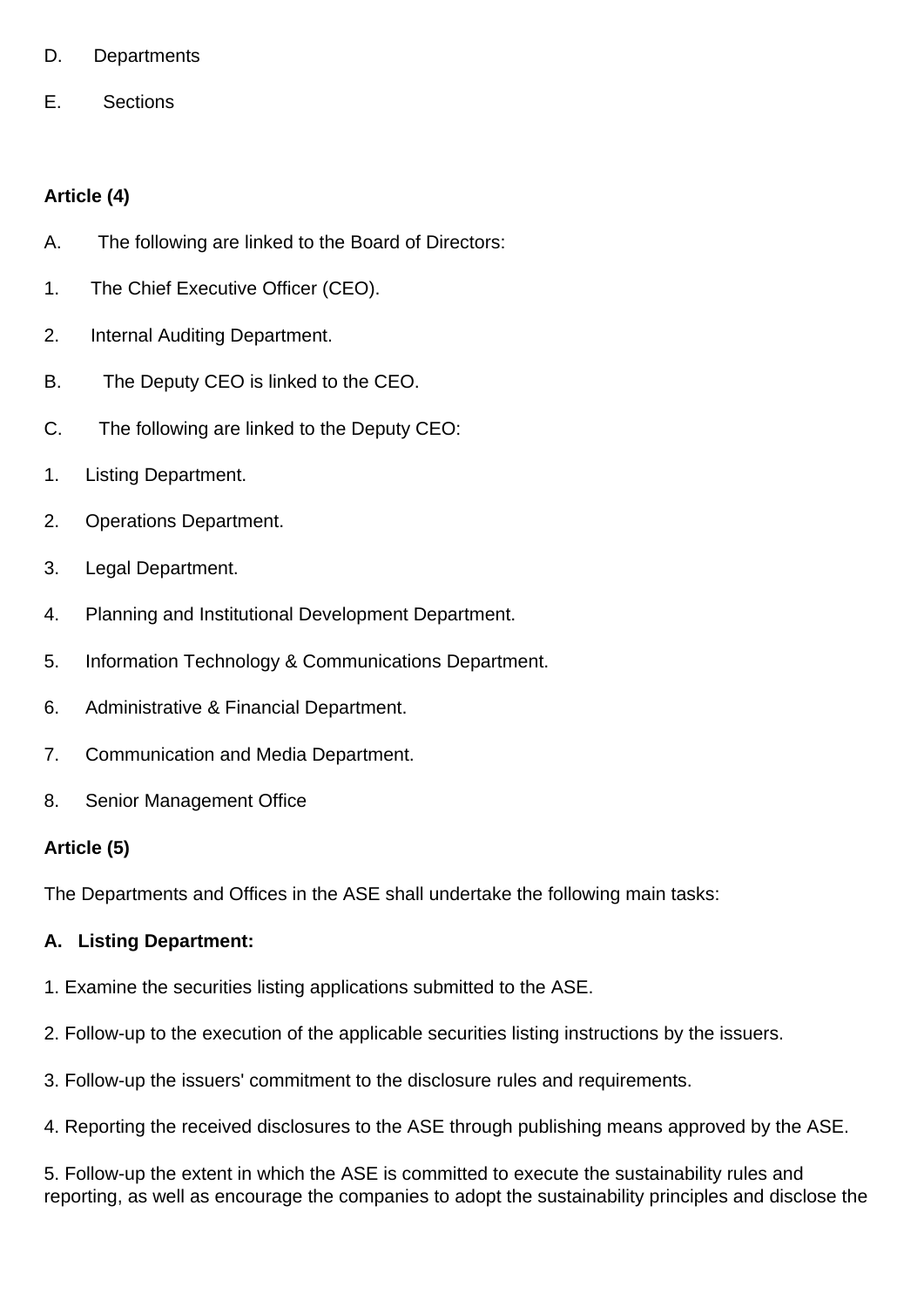- D. Departments
- E. Sections

## **Article (4)**

- A. The following are linked to the Board of Directors:
- 1. The Chief Executive Officer (CEO).
- 2. Internal Auditing Department.
- B. The Deputy CEO is linked to the CEO.
- C. The following are linked to the Deputy CEO:
- 1. Listing Department.
- 2. Operations Department.
- 3. Legal Department.
- 4. Planning and Institutional Development Department.
- 5. Information Technology & Communications Department.
- 6. Administrative & Financial Department.
- 7. Communication and Media Department.
- 8. Senior Management Office

#### **Article (5)**

The Departments and Offices in the ASE shall undertake the following main tasks:

#### **A. Listing Department:**

- 1. Examine the securities listing applications submitted to the ASE.
- 2. Follow-up to the execution of the applicable securities listing instructions by the issuers.
- 3. Follow-up the issuers' commitment to the disclosure rules and requirements.
- 4. Reporting the received disclosures to the ASE through publishing means approved by the ASE.

5. Follow-up the extent in which the ASE is committed to execute the sustainability rules and reporting, as well as encourage the companies to adopt the sustainability principles and disclose the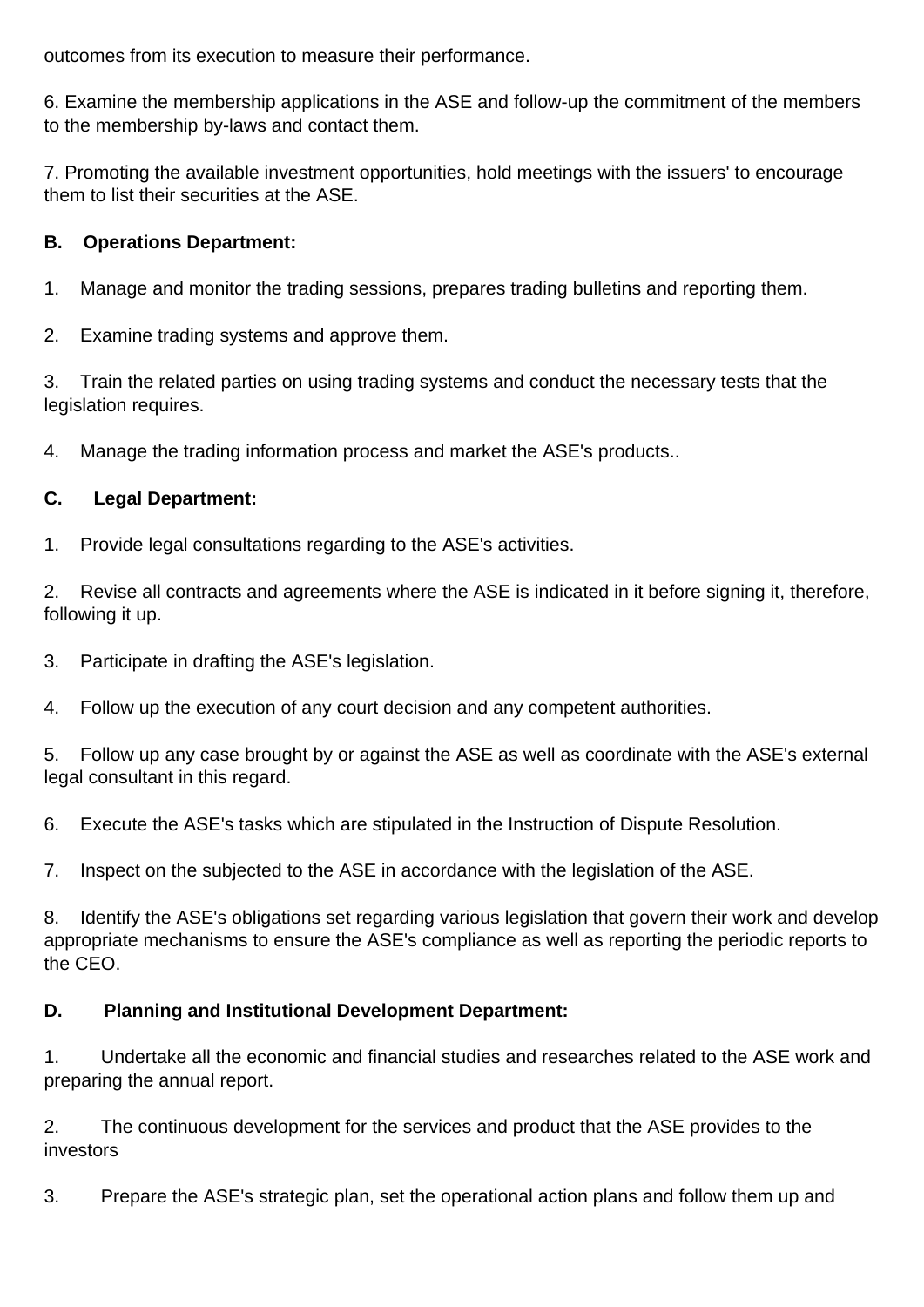outcomes from its execution to measure their performance.

6. Examine the membership applications in the ASE and follow-up the commitment of the members to the membership by-laws and contact them.

7. Promoting the available investment opportunities, hold meetings with the issuers' to encourage them to list their securities at the ASE.

### **B. Operations Department:**

1. Manage and monitor the trading sessions, prepares trading bulletins and reporting them.

2. Examine trading systems and approve them.

3. Train the related parties on using trading systems and conduct the necessary tests that the legislation requires.

4. Manage the trading information process and market the ASE's products..

### **C. Legal Department:**

1. Provide legal consultations regarding to the ASE's activities.

2. Revise all contracts and agreements where the ASE is indicated in it before signing it, therefore, following it up.

3. Participate in drafting the ASE's legislation.

4. Follow up the execution of any court decision and any competent authorities.

5. Follow up any case brought by or against the ASE as well as coordinate with the ASE's external legal consultant in this regard.

6. Execute the ASE's tasks which are stipulated in the Instruction of Dispute Resolution.

7. Inspect on the subjected to the ASE in accordance with the legislation of the ASE.

8. Identify the ASE's obligations set regarding various legislation that govern their work and develop appropriate mechanisms to ensure the ASE's compliance as well as reporting the periodic reports to the CEO.

### **D. Planning and Institutional Development Department:**

1. Undertake all the economic and financial studies and researches related to the ASE work and preparing the annual report.

2. The continuous development for the services and product that the ASE provides to the investors

3. Prepare the ASE's strategic plan, set the operational action plans and follow them up and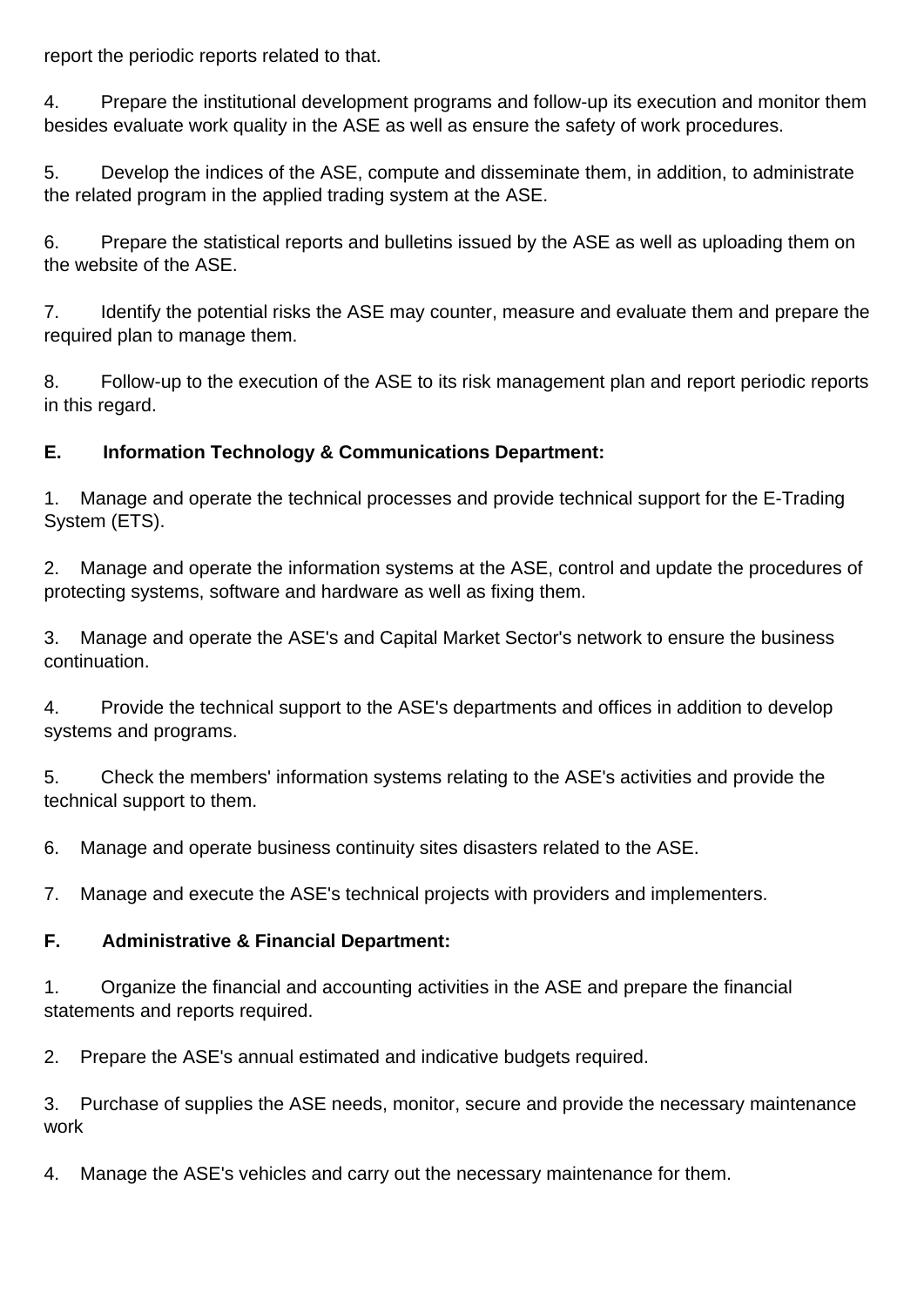report the periodic reports related to that.

4. Prepare the institutional development programs and follow-up its execution and monitor them besides evaluate work quality in the ASE as well as ensure the safety of work procedures.

5. Develop the indices of the ASE, compute and disseminate them, in addition, to administrate the related program in the applied trading system at the ASE.

6. Prepare the statistical reports and bulletins issued by the ASE as well as uploading them on the website of the ASE.

7. Identify the potential risks the ASE may counter, measure and evaluate them and prepare the required plan to manage them.

8. Follow-up to the execution of the ASE to its risk management plan and report periodic reports in this regard.

# **E. Information Technology & Communications Department:**

1. Manage and operate the technical processes and provide technical support for the E-Trading System (ETS).

2. Manage and operate the information systems at the ASE, control and update the procedures of protecting systems, software and hardware as well as fixing them.

3. Manage and operate the ASE's and Capital Market Sector's network to ensure the business continuation.

4. Provide the technical support to the ASE's departments and offices in addition to develop systems and programs.

5. Check the members' information systems relating to the ASE's activities and provide the technical support to them.

6. Manage and operate business continuity sites disasters related to the ASE.

7. Manage and execute the ASE's technical projects with providers and implementers.

# **F. Administrative & Financial Department:**

1. Organize the financial and accounting activities in the ASE and prepare the financial statements and reports required.

2. Prepare the ASE's annual estimated and indicative budgets required.

3. Purchase of supplies the ASE needs, monitor, secure and provide the necessary maintenance work

4. Manage the ASE's vehicles and carry out the necessary maintenance for them.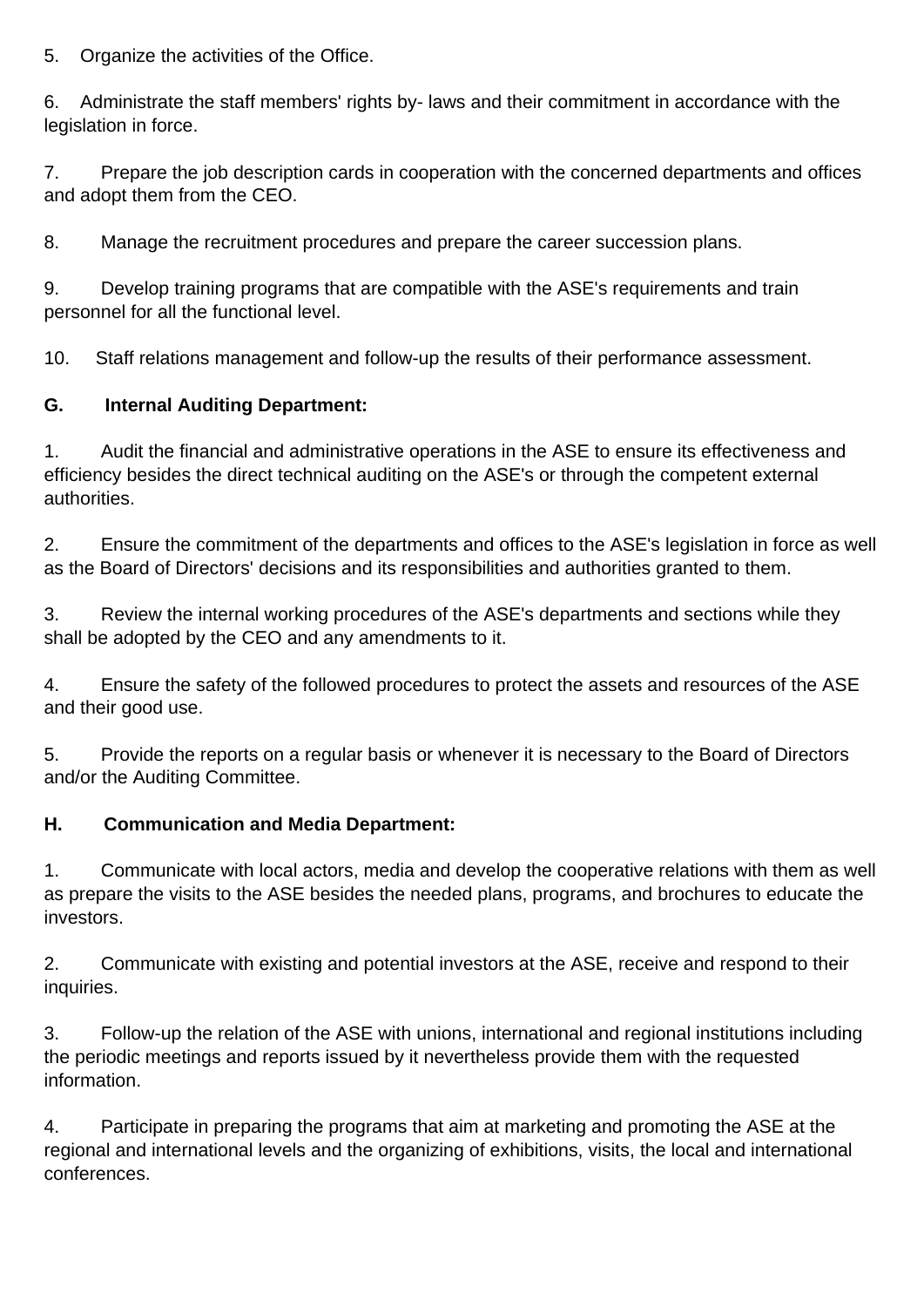5. Organize the activities of the Office.

6. Administrate the staff members' rights by- laws and their commitment in accordance with the legislation in force.

7. Prepare the job description cards in cooperation with the concerned departments and offices and adopt them from the CEO.

8. Manage the recruitment procedures and prepare the career succession plans.

9. Develop training programs that are compatible with the ASE's requirements and train personnel for all the functional level.

10. Staff relations management and follow-up the results of their performance assessment.

## **G. Internal Auditing Department:**

1. Audit the financial and administrative operations in the ASE to ensure its effectiveness and efficiency besides the direct technical auditing on the ASE's or through the competent external authorities.

2. Ensure the commitment of the departments and offices to the ASE's legislation in force as well as the Board of Directors' decisions and its responsibilities and authorities granted to them.

3. Review the internal working procedures of the ASE's departments and sections while they shall be adopted by the CEO and any amendments to it.

4. Ensure the safety of the followed procedures to protect the assets and resources of the ASE and their good use.

5. Provide the reports on a regular basis or whenever it is necessary to the Board of Directors and/or the Auditing Committee.

### **H. Communication and Media Department:**

1. Communicate with local actors, media and develop the cooperative relations with them as well as prepare the visits to the ASE besides the needed plans, programs, and brochures to educate the investors.

2. Communicate with existing and potential investors at the ASE, receive and respond to their inquiries.

3. Follow-up the relation of the ASE with unions, international and regional institutions including the periodic meetings and reports issued by it nevertheless provide them with the requested information.

4. Participate in preparing the programs that aim at marketing and promoting the ASE at the regional and international levels and the organizing of exhibitions, visits, the local and international conferences.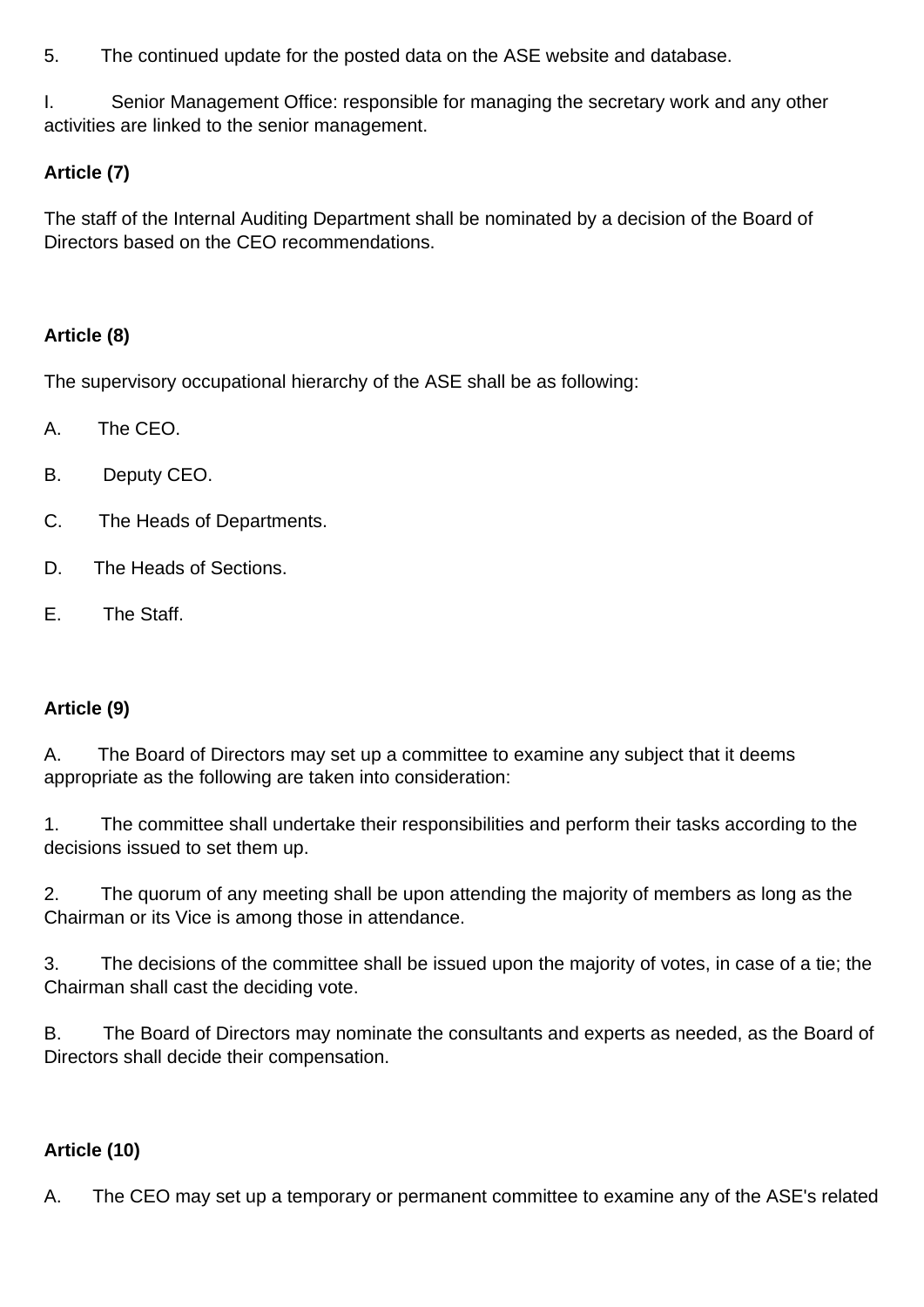5. The continued update for the posted data on the ASE website and database.

I. Senior Management Office: responsible for managing the secretary work and any other activities are linked to the senior management.

# **Article (7)**

The staff of the Internal Auditing Department shall be nominated by a decision of the Board of Directors based on the CEO recommendations.

## **Article (8)**

The supervisory occupational hierarchy of the ASE shall be as following:

- A. The CEO.
- B. Deputy CEO.
- C. The Heads of Departments.
- D. The Heads of Sections.
- E. The Staff.

### **Article (9)**

A. The Board of Directors may set up a committee to examine any subject that it deems appropriate as the following are taken into consideration:

1. The committee shall undertake their responsibilities and perform their tasks according to the decisions issued to set them up.

2. The quorum of any meeting shall be upon attending the majority of members as long as the Chairman or its Vice is among those in attendance.

3. The decisions of the committee shall be issued upon the majority of votes, in case of a tie; the Chairman shall cast the deciding vote.

B. The Board of Directors may nominate the consultants and experts as needed, as the Board of Directors shall decide their compensation.

# **Article (10)**

A. The CEO may set up a temporary or permanent committee to examine any of the ASE's related